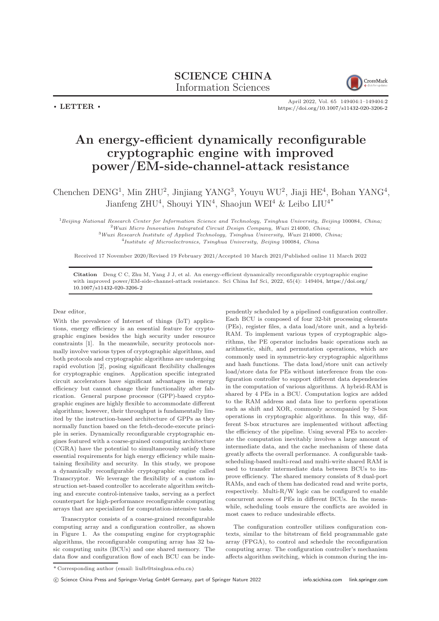

 $\cdot$  LETTER  $\cdot$ 

April 2022, Vol. 65 149404:1–149404[:2](#page-1-0) <https://doi.org/10.1007/s11432-020-3206-2>

## An energy-efficient dynamically reconfigurable cryptographic engine with improved power/EM-side-channel-attack resistance

Chenchen DENG<sup>1</sup>, Min ZHU<sup>2</sup>, Jinjiang YANG<sup>3</sup>, Youyu WU<sup>2</sup>, Jiaji HE<sup>4</sup>, Bohan YANG<sup>4</sup>, Jianfeng ZHU<sup>4</sup>, Shouyi YIN<sup>4</sup>, Shaojun WEI<sup>4</sup> & Leibo LIU<sup>4\*</sup>

<sup>1</sup>Beijing National Research Center for Information Science and Technology, Tsinghua University, Beijing 100084, China;  $^{2}$ Wuxi Micro Innovation Integrated Circuit Design Company, Wuxi 214000, China;  $3$ Wuxi Research Institute of Applied Technology, Tsinghua University, Wuxi 214000, China; 4 Institute of Microelectronics, Tsinghua University, Beijing 100084, China

Received 17 November 2020/Revised 19 February 2021/Accepted 10 March 2021/Published online 11 March 2022

Citation Deng C C, Zhu M, Yang J J, et al. An energy-efficient dynamically reconfigurable cryptographic engine with improved power/EM-side-channel-attack resistance. Sci China Inf Sci, 2022, 65(4): 149404, [https://doi.org/](https://doi.org/10.1007/s11432-020-3206-2) [10.1007/s11432-020-3206-2](https://doi.org/10.1007/s11432-020-3206-2)

## Dear editor,

With the prevalence of Internet of things (IoT) applications, energy efficiency is an essential feature for cryptographic engines besides the high security under resource constraints [\[1\]](#page-1-1). In the meanwhile, security protocols normally involve various types of cryptographic algorithms, and both protocols and cryptographic algorithms are undergoing rapid evolution [\[2\]](#page-1-2), posing significant flexibility challenges for cryptographic engines. Application specific integrated circuit accelerators have significant advantages in energy efficiency but cannot change their functionality after fabrication. General purpose processor (GPP)-based cryptographic engines are highly flexible to accommodate different algorithms; however, their throughput is fundamentally limited by the instruction-based architecture of GPPs as they normally function based on the fetch-decode-execute principle in series. Dynamically reconfigurable cryptographic engines featured with a coarse-grained computing architecture (CGRA) have the potential to simultaneously satisfy these essential requirements for high energy efficiency while maintaining flexibility and security. In this study, we propose a dynamically reconfigurable cryptographic engine called Transcryptor. We leverage the flexibility of a custom instruction set-based controller to accelerate algorithm switching and execute control-intensive tasks, serving as a perfect counterpart for high-performance reconfigurable computing arrays that are specialized for computation-intensive tasks.

Transcryptor consists of a coarse-grained reconfigurable computing array and a configuration controller, as shown in Figure [1.](#page-1-3) As the computing engine for cryptographic algorithms, the reconfigurable computing array has 32 basic computing units (BCUs) and one shared memory. The data flow and configuration flow of each BCU can be independently scheduled by a pipelined configuration controller. Each BCU is composed of four 32-bit processing elements (PEs), register files, a data load/store unit, and a hybrid-RAM. To implement various types of cryptographic algorithms, the PE operator includes basic operations such as arithmetic, shift, and permutation operations, which are commonly used in symmetric-key cryptographic algorithms and hash functions. The data load/store unit can actively load/store data for PEs without interference from the configuration controller to support different data dependencies in the computation of various algorithms. A hybrid-RAM is shared by 4 PEs in a BCU. Computation logics are added to the RAM address and data line to perform operations such as shift and XOR, commonly accompanied by S-box operations in cryptographic algorithms. In this way, different S-box structures are implemented without affecting the efficiency of the pipeline. Using several PEs to accelerate the computation inevitably involves a large amount of intermediate data, and the cache mechanism of these data greatly affects the overall performance. A configurable taskscheduling-based multi-read and multi-write shared RAM is used to transfer intermediate data between BCUs to improve efficiency. The shared memory consists of 8 dual-port RAMs, and each of them has dedicated read and write ports, respectively. Multi-R/W logic can be configured to enable concurrent access of PEs in different BCUs. In the meanwhile, scheduling tools ensure the conflicts are avoided in most cases to reduce undesirable effects.

The configuration controller utilizes configuration contexts, similar to the bitstream of field programmable gate array (FPGA), to control and schedule the reconfiguration computing array. The configuration controller's mechanism affects algorithm switching, which is common during the im-

c Science China Press and Springer-Verlag GmbH Germany, part of Springer Nature 2022 <info.scichina.com><link.springer.com>

<sup>\*</sup> Corresponding author (email: liulb@tsinghua.edu.cn)